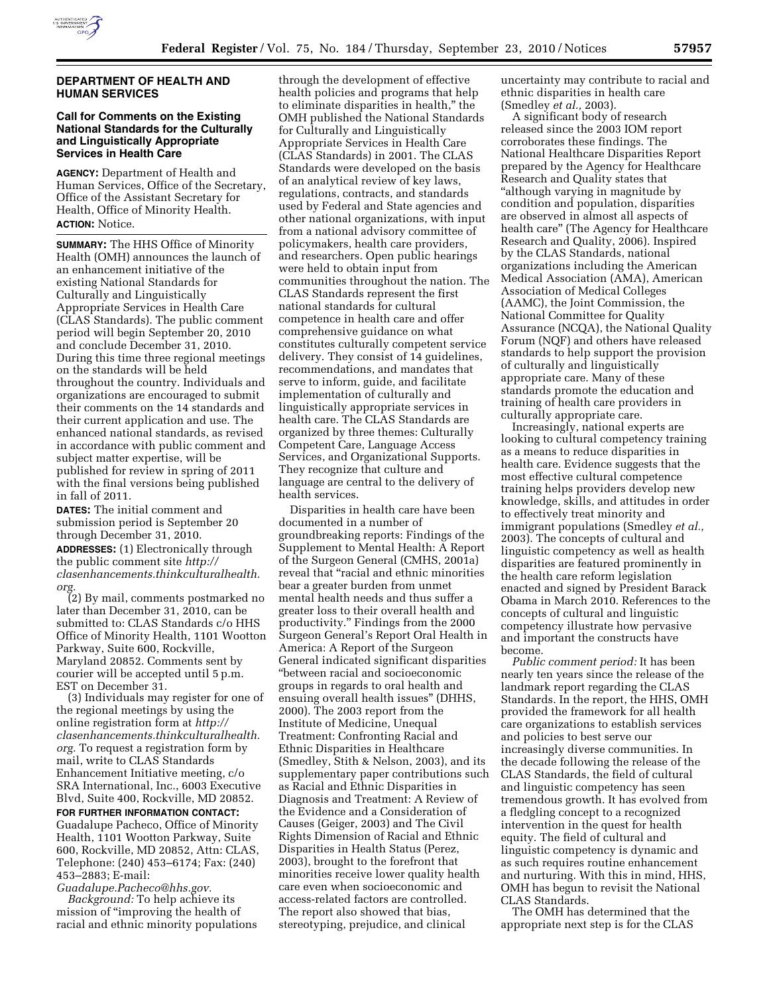

## **DEPARTMENT OF HEALTH AND HUMAN SERVICES**

## **Call for Comments on the Existing National Standards for the Culturally and Linguistically Appropriate Services in Health Care**

**AGENCY:** Department of Health and Human Services, Office of the Secretary, Office of the Assistant Secretary for Health, Office of Minority Health. **ACTION:** Notice.

**SUMMARY:** The HHS Office of Minority Health (OMH) announces the launch of an enhancement initiative of the existing National Standards for Culturally and Linguistically Appropriate Services in Health Care (CLAS Standards). The public comment period will begin September 20, 2010 and conclude December 31, 2010. During this time three regional meetings on the standards will be held throughout the country. Individuals and organizations are encouraged to submit their comments on the 14 standards and their current application and use. The enhanced national standards, as revised in accordance with public comment and subject matter expertise, will be published for review in spring of 2011 with the final versions being published in fall of 2011.

**DATES:** The initial comment and submission period is September 20 through December 31, 2010.

**ADDRESSES:** (1) Electronically through the public comment site *[http://](http://clasenhancements.thinkculturalhealth.org) [clasenhancements.thinkculturalhealth.](http://clasenhancements.thinkculturalhealth.org) [org.](http://clasenhancements.thinkculturalhealth.org)* 

(2) By mail, comments postmarked no later than December 31, 2010, can be submitted to: CLAS Standards c/o HHS Office of Minority Health, 1101 Wootton Parkway, Suite 600, Rockville, Maryland 20852. Comments sent by courier will be accepted until 5 p.m. EST on December 31.

(3) Individuals may register for one of the regional meetings by using the online registration form at *[http://](http://clasenhancements.thinkculturalhealth.org) [clasenhancements.thinkculturalhealth.](http://clasenhancements.thinkculturalhealth.org) [org.](http://clasenhancements.thinkculturalhealth.org)* To request a registration form by mail, write to CLAS Standards Enhancement Initiative meeting, c/o SRA International, Inc., 6003 Executive Blvd, Suite 400, Rockville, MD 20852.

**FOR FURTHER INFORMATION CONTACT:**  Guadalupe Pacheco, Office of Minority Health, 1101 Wootton Parkway, Suite 600, Rockville, MD 20852, Attn: CLAS, Telephone: (240) 453–6174; Fax: (240) 453–2883; E-mail:

*[Guadalupe.Pacheco@hhs.gov.](mailto:Guadalupe.Pacheco@hhs.gov)* 

*Background:* To help achieve its mission of ''improving the health of racial and ethnic minority populations

through the development of effective health policies and programs that help to eliminate disparities in health,'' the OMH published the National Standards for Culturally and Linguistically Appropriate Services in Health Care (CLAS Standards) in 2001. The CLAS Standards were developed on the basis of an analytical review of key laws, regulations, contracts, and standards used by Federal and State agencies and other national organizations, with input from a national advisory committee of policymakers, health care providers, and researchers. Open public hearings were held to obtain input from communities throughout the nation. The CLAS Standards represent the first national standards for cultural competence in health care and offer comprehensive guidance on what constitutes culturally competent service delivery. They consist of 14 guidelines, recommendations, and mandates that serve to inform, guide, and facilitate implementation of culturally and linguistically appropriate services in health care. The CLAS Standards are organized by three themes: Culturally Competent Care, Language Access Services, and Organizational Supports. They recognize that culture and language are central to the delivery of health services.

Disparities in health care have been documented in a number of groundbreaking reports: Findings of the Supplement to Mental Health: A Report of the Surgeon General (CMHS, 2001a) reveal that ''racial and ethnic minorities bear a greater burden from unmet mental health needs and thus suffer a greater loss to their overall health and productivity.'' Findings from the 2000 Surgeon General's Report Oral Health in America: A Report of the Surgeon General indicated significant disparities ''between racial and socioeconomic groups in regards to oral health and ensuing overall health issues'' (DHHS, 2000). The 2003 report from the Institute of Medicine, Unequal Treatment: Confronting Racial and Ethnic Disparities in Healthcare (Smedley, Stith & Nelson, 2003), and its supplementary paper contributions such as Racial and Ethnic Disparities in Diagnosis and Treatment: A Review of the Evidence and a Consideration of Causes (Geiger, 2003) and The Civil Rights Dimension of Racial and Ethnic Disparities in Health Status (Perez, 2003), brought to the forefront that minorities receive lower quality health care even when socioeconomic and access-related factors are controlled. The report also showed that bias, stereotyping, prejudice, and clinical

uncertainty may contribute to racial and ethnic disparities in health care (Smedley *et al.,* 2003).

A significant body of research released since the 2003 IOM report corroborates these findings. The National Healthcare Disparities Report prepared by the Agency for Healthcare Research and Quality states that "although varying in magnitude by condition and population, disparities are observed in almost all aspects of health care'' (The Agency for Healthcare Research and Quality, 2006). Inspired by the CLAS Standards, national organizations including the American Medical Association (AMA), American Association of Medical Colleges (AAMC), the Joint Commission, the National Committee for Quality Assurance (NCQA), the National Quality Forum (NQF) and others have released standards to help support the provision of culturally and linguistically appropriate care. Many of these standards promote the education and training of health care providers in culturally appropriate care.

Increasingly, national experts are looking to cultural competency training as a means to reduce disparities in health care. Evidence suggests that the most effective cultural competence training helps providers develop new knowledge, skills, and attitudes in order to effectively treat minority and immigrant populations (Smedley *et al.,*  2003). The concepts of cultural and linguistic competency as well as health disparities are featured prominently in the health care reform legislation enacted and signed by President Barack Obama in March 2010. References to the concepts of cultural and linguistic competency illustrate how pervasive and important the constructs have become.

*Public comment period:* It has been nearly ten years since the release of the landmark report regarding the CLAS Standards. In the report, the HHS, OMH provided the framework for all health care organizations to establish services and policies to best serve our increasingly diverse communities. In the decade following the release of the CLAS Standards, the field of cultural and linguistic competency has seen tremendous growth. It has evolved from a fledgling concept to a recognized intervention in the quest for health equity. The field of cultural and linguistic competency is dynamic and as such requires routine enhancement and nurturing. With this in mind, HHS, OMH has begun to revisit the National CLAS Standards.

The OMH has determined that the appropriate next step is for the CLAS